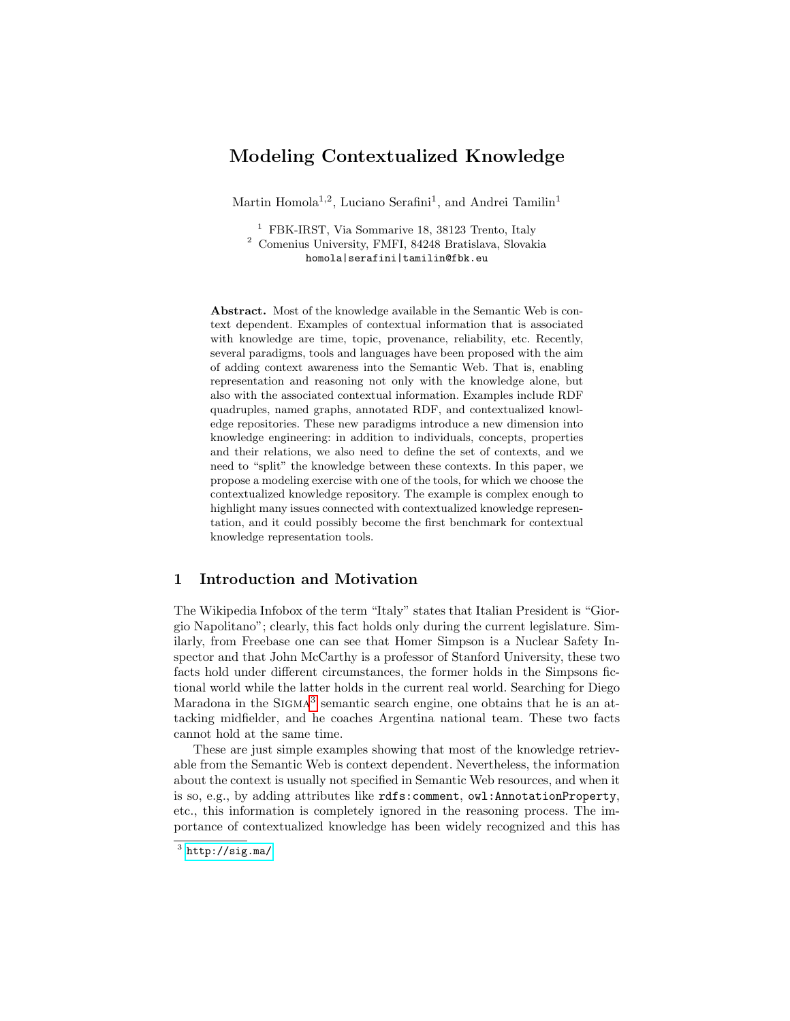# Modeling Contextualized Knowledge

Martin Homola<sup>1,2</sup>, Luciano Serafini<sup>1</sup>, and Andrei Tamilin<sup>1</sup>

<sup>1</sup> FBK-IRST, Via Sommarive 18, 38123 Trento, Italy <sup>2</sup> Comenius University, FMFI, 84248 Bratislava, Slovakia homola|serafini|tamilin@fbk.eu

Abstract. Most of the knowledge available in the Semantic Web is context dependent. Examples of contextual information that is associated with knowledge are time, topic, provenance, reliability, etc. Recently, several paradigms, tools and languages have been proposed with the aim of adding context awareness into the Semantic Web. That is, enabling representation and reasoning not only with the knowledge alone, but also with the associated contextual information. Examples include RDF quadruples, named graphs, annotated RDF, and contextualized knowledge repositories. These new paradigms introduce a new dimension into knowledge engineering: in addition to individuals, concepts, properties and their relations, we also need to define the set of contexts, and we need to "split" the knowledge between these contexts. In this paper, we propose a modeling exercise with one of the tools, for which we choose the contextualized knowledge repository. The example is complex enough to highlight many issues connected with contextualized knowledge representation, and it could possibly become the first benchmark for contextual knowledge representation tools.

# 1 Introduction and Motivation

The Wikipedia Infobox of the term "Italy" states that Italian President is "Giorgio Napolitano"; clearly, this fact holds only during the current legislature. Similarly, from Freebase one can see that Homer Simpson is a Nuclear Safety Inspector and that John McCarthy is a professor of Stanford University, these two facts hold under different circumstances, the former holds in the Simpsons fictional world while the latter holds in the current real world. Searching for Diego Maradona in the SIGMA<sup>[3](#page-0-0)</sup> semantic search engine, one obtains that he is an attacking midfielder, and he coaches Argentina national team. These two facts cannot hold at the same time.

These are just simple examples showing that most of the knowledge retrievable from the Semantic Web is context dependent. Nevertheless, the information about the context is usually not specified in Semantic Web resources, and when it is so, e.g., by adding attributes like rdfs:comment, owl:AnnotationProperty, etc., this information is completely ignored in the reasoning process. The importance of contextualized knowledge has been widely recognized and this has

<span id="page-0-0"></span> $^3$  <http://sig.ma/>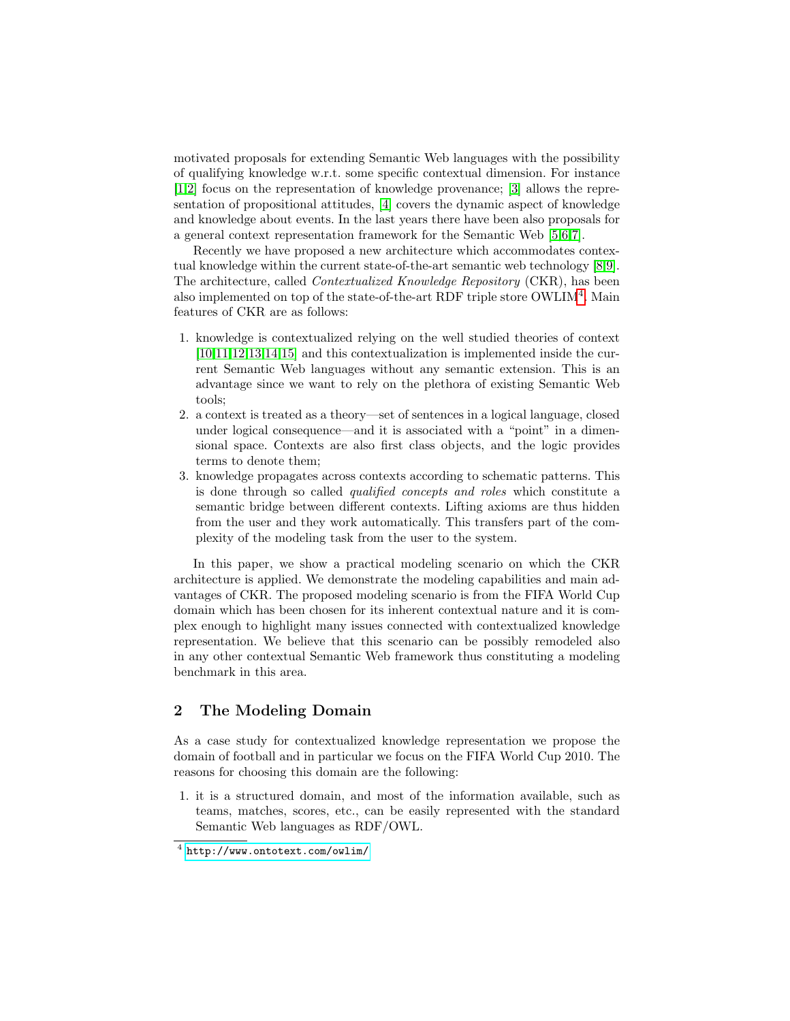motivated proposals for extending Semantic Web languages with the possibility of qualifying knowledge w.r.t. some specific contextual dimension. For instance [\[1,](#page-13-0)[2\]](#page-14-0) focus on the representation of knowledge provenance; [\[3\]](#page-14-1) allows the representation of propositional attitudes, [\[4\]](#page-14-2) covers the dynamic aspect of knowledge and knowledge about events. In the last years there have been also proposals for a general context representation framework for the Semantic Web [\[5,](#page-14-3)[6,](#page-14-4)[7\]](#page-14-5).

Recently we have proposed a new architecture which accommodates contextual knowledge within the current state-of-the-art semantic web technology [\[8,](#page-14-6)[9\]](#page-14-7). The architecture, called Contextualized Knowledge Repository (CKR), has been also implemented on top of the state-of-the-art RDF triple store OWLIM<sup>[4](#page-1-0)</sup>. Main features of CKR are as follows:

- 1. knowledge is contextualized relying on the well studied theories of context [\[10](#page-14-8)[,11](#page-14-9)[,12,](#page-14-10)[13,](#page-14-11)[14](#page-14-12)[,15\]](#page-14-13) and this contextualization is implemented inside the current Semantic Web languages without any semantic extension. This is an advantage since we want to rely on the plethora of existing Semantic Web tools;
- 2. a context is treated as a theory—set of sentences in a logical language, closed under logical consequence—and it is associated with a "point" in a dimensional space. Contexts are also first class objects, and the logic provides terms to denote them;
- 3. knowledge propagates across contexts according to schematic patterns. This is done through so called qualified concepts and roles which constitute a semantic bridge between different contexts. Lifting axioms are thus hidden from the user and they work automatically. This transfers part of the complexity of the modeling task from the user to the system.

In this paper, we show a practical modeling scenario on which the CKR architecture is applied. We demonstrate the modeling capabilities and main advantages of CKR. The proposed modeling scenario is from the FIFA World Cup domain which has been chosen for its inherent contextual nature and it is complex enough to highlight many issues connected with contextualized knowledge representation. We believe that this scenario can be possibly remodeled also in any other contextual Semantic Web framework thus constituting a modeling benchmark in this area.

# 2 The Modeling Domain

As a case study for contextualized knowledge representation we propose the domain of football and in particular we focus on the FIFA World Cup 2010. The reasons for choosing this domain are the following:

1. it is a structured domain, and most of the information available, such as teams, matches, scores, etc., can be easily represented with the standard Semantic Web languages as RDF/OWL.

<span id="page-1-0"></span><sup>4</sup> <http://www.ontotext.com/owlim/>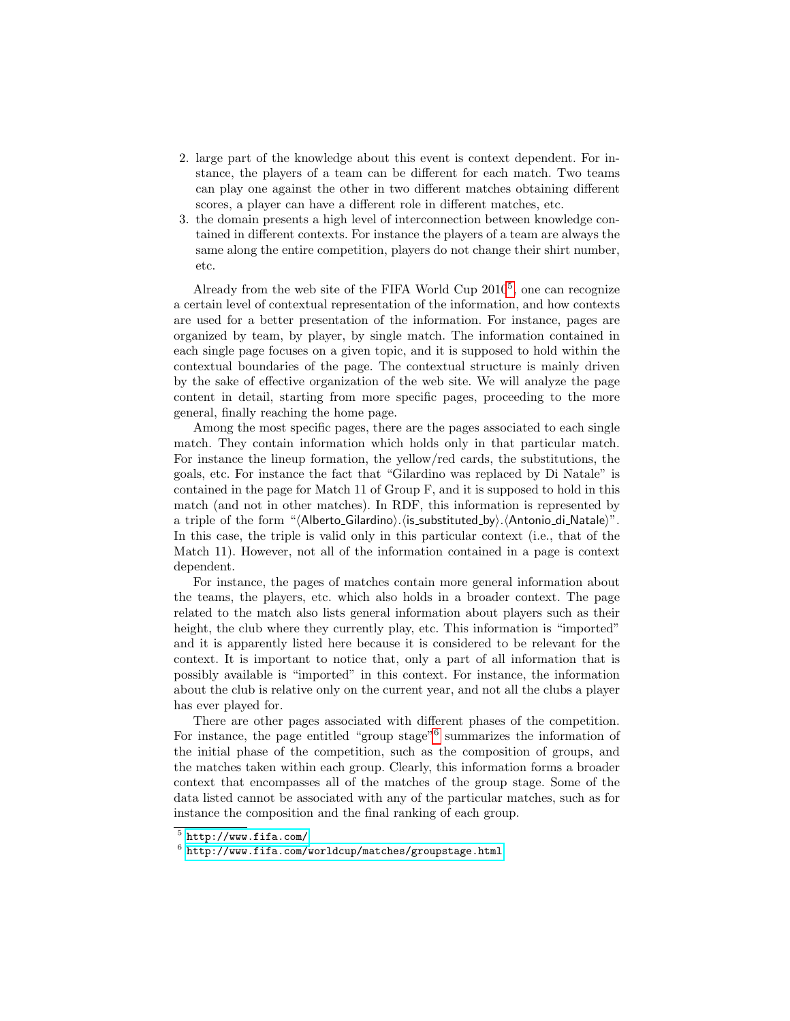- 2. large part of the knowledge about this event is context dependent. For instance, the players of a team can be different for each match. Two teams can play one against the other in two different matches obtaining different scores, a player can have a different role in different matches, etc.
- 3. the domain presents a high level of interconnection between knowledge contained in different contexts. For instance the players of a team are always the same along the entire competition, players do not change their shirt number, etc.

Already from the web site of the FIFA World Cup  $2010^5$  $2010^5$ , one can recognize a certain level of contextual representation of the information, and how contexts are used for a better presentation of the information. For instance, pages are organized by team, by player, by single match. The information contained in each single page focuses on a given topic, and it is supposed to hold within the contextual boundaries of the page. The contextual structure is mainly driven by the sake of effective organization of the web site. We will analyze the page content in detail, starting from more specific pages, proceeding to the more general, finally reaching the home page.

Among the most specific pages, there are the pages associated to each single match. They contain information which holds only in that particular match. For instance the lineup formation, the yellow/red cards, the substitutions, the goals, etc. For instance the fact that "Gilardino was replaced by Di Natale" is contained in the page for Match 11 of Group F, and it is supposed to hold in this match (and not in other matches). In RDF, this information is represented by a triple of the form " $\langle$ Alberto Gilardino). $\langle$  is substituted by $\rangle$ . $\langle$ Antonio di Natale $\rangle$ ". In this case, the triple is valid only in this particular context (i.e., that of the Match 11). However, not all of the information contained in a page is context dependent.

For instance, the pages of matches contain more general information about the teams, the players, etc. which also holds in a broader context. The page related to the match also lists general information about players such as their height, the club where they currently play, etc. This information is "imported" and it is apparently listed here because it is considered to be relevant for the context. It is important to notice that, only a part of all information that is possibly available is "imported" in this context. For instance, the information about the club is relative only on the current year, and not all the clubs a player has ever played for.

There are other pages associated with different phases of the competition. For instance, the page entitled "group stage"<sup>[6](#page-2-1)</sup> summarizes the information of the initial phase of the competition, such as the composition of groups, and the matches taken within each group. Clearly, this information forms a broader context that encompasses all of the matches of the group stage. Some of the data listed cannot be associated with any of the particular matches, such as for instance the composition and the final ranking of each group.

<span id="page-2-0"></span> $5$  <http://www.fifa.com/>

<span id="page-2-1"></span> $^6$ <http://www.fifa.com/worldcup/matches/groupstage.html>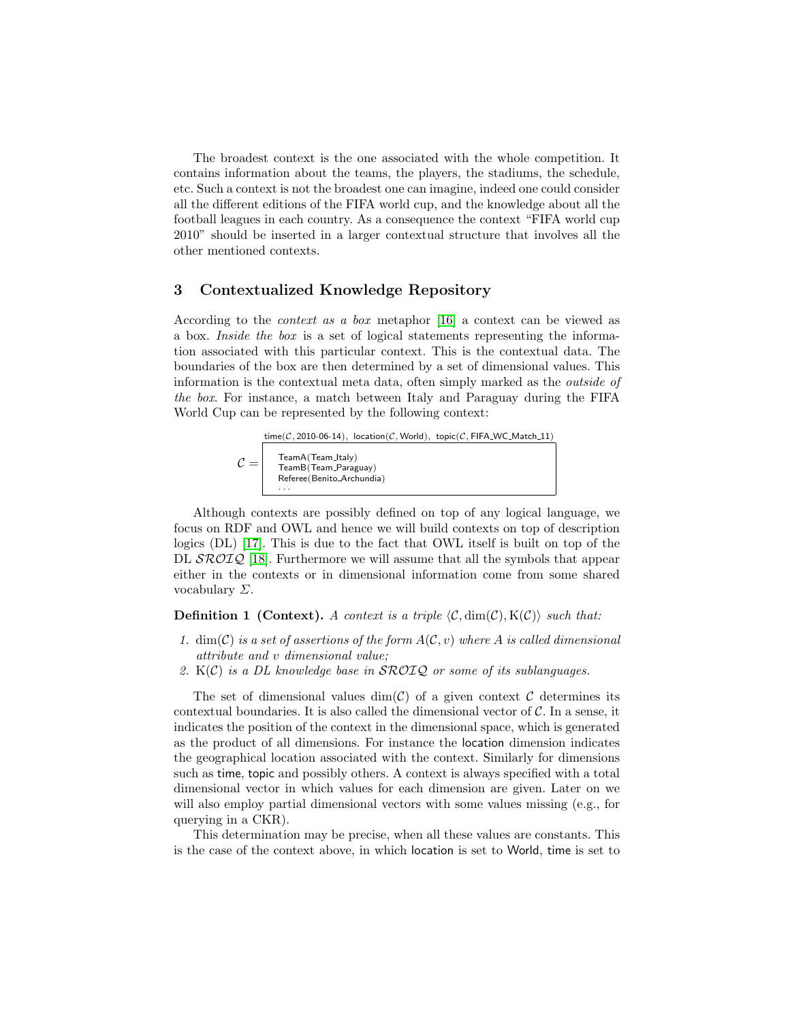The broadest context is the one associated with the whole competition. It contains information about the teams, the players, the stadiums, the schedule, etc. Such a context is not the broadest one can imagine, indeed one could consider all the different editions of the FIFA world cup, and the knowledge about all the football leagues in each country. As a consequence the context "FIFA world cup 2010" should be inserted in a larger contextual structure that involves all the other mentioned contexts.

### 3 Contextualized Knowledge Repository

According to the context as a box metaphor [\[16\]](#page-14-14) a context can be viewed as a box. Inside the box is a set of logical statements representing the information associated with this particular context. This is the contextual data. The boundaries of the box are then determined by a set of dimensional values. This information is the contextual meta data, often simply marked as the outside of the box. For instance, a match between Italy and Paraguay during the FIFA World Cup can be represented by the following context:

 $time(\mathcal{C}, 2010\text{-}06\text{-}14)$ ,  $location(\mathcal{C}, World)$ ,  $topic(\mathcal{C}, FIFA\_WC\_Match\_11)$ 

| $\mathcal{C} =$ | TeamA(Team_Italy)<br>TeamB(Team_Paraguay)<br>Referee (Benito_Archundia) |
|-----------------|-------------------------------------------------------------------------|
|                 |                                                                         |

Although contexts are possibly defined on top of any logical language, we focus on RDF and OWL and hence we will build contexts on top of description logics (DL) [\[17\]](#page-14-15). This is due to the fact that OWL itself is built on top of the DL  $\mathcal{SROIQ}$  [\[18\]](#page-14-16). Furthermore we will assume that all the symbols that appear either in the contexts or in dimensional information come from some shared vocabulary  $\Sigma$ .

#### **Definition 1 (Context).** A context is a triple  $\langle C, \dim(C), K(C) \rangle$  such that:

- 1.  $\dim(\mathcal{C})$  is a set of assertions of the form  $A(\mathcal{C}, v)$  where A is called dimensional attribute and v dimensional value;
- 2.  $K(\mathcal{C})$  is a DL knowledge base in SROIQ or some of its sublanguages.

The set of dimensional values  $\dim(\mathcal{C})$  of a given context  $\mathcal C$  determines its contextual boundaries. It is also called the dimensional vector of  $\mathcal{C}$ . In a sense, it indicates the position of the context in the dimensional space, which is generated as the product of all dimensions. For instance the location dimension indicates the geographical location associated with the context. Similarly for dimensions such as time, topic and possibly others. A context is always specified with a total dimensional vector in which values for each dimension are given. Later on we will also employ partial dimensional vectors with some values missing (e.g., for querying in a CKR).

This determination may be precise, when all these values are constants. This is the case of the context above, in which location is set to World, time is set to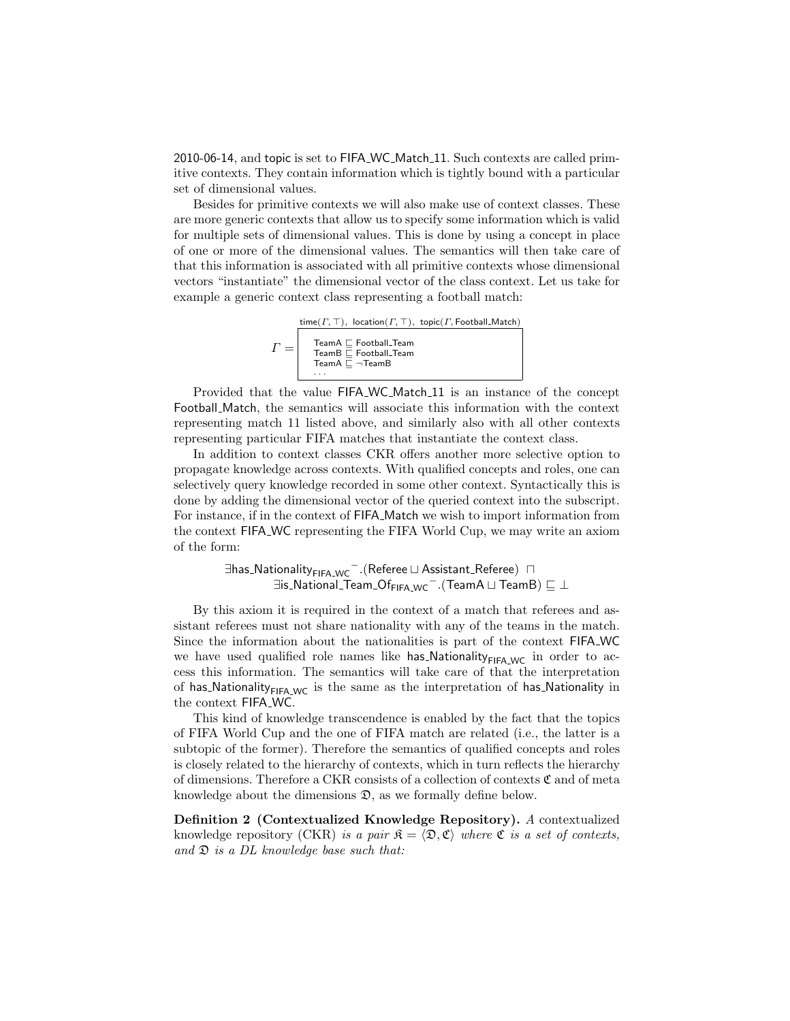2010-06-14, and topic is set to FIFA WC Match 11. Such contexts are called primitive contexts. They contain information which is tightly bound with a particular set of dimensional values.

Besides for primitive contexts we will also make use of context classes. These are more generic contexts that allow us to specify some information which is valid for multiple sets of dimensional values. This is done by using a concept in place of one or more of the dimensional values. The semantics will then take care of that this information is associated with all primitive contexts whose dimensional vectors "instantiate" the dimensional vector of the class context. Let us take for example a generic context class representing a football match:

 $\Gamma =$ time( $\Gamma$ ,  $\top$ ), location( $\Gamma$ ,  $\top$ ), topic( $\Gamma$ , Football Match) TeamA ⊑ Football\_Team<br>TeamB ⊑ Football\_Team<br>TeamA ⊑ ¬TeamB · · ·

Provided that the value FIFA WC Match 11 is an instance of the concept Football Match, the semantics will associate this information with the context representing match 11 listed above, and similarly also with all other contexts representing particular FIFA matches that instantiate the context class.

In addition to context classes CKR offers another more selective option to propagate knowledge across contexts. With qualified concepts and roles, one can selectively query knowledge recorded in some other context. Syntactically this is done by adding the dimensional vector of the queried context into the subscript. For instance, if in the context of FIFA Match we wish to import information from the context FIFA WC representing the FIFA World Cup, we may write an axiom of the form:

> ∃has NationalityFIFA WC <sup>−</sup>.(Referee t Assistant Referee) u  $\exists$ is\_National\_Team\_Of $_{\mathsf{FIFA\_WC}}^-$  . (TeamA  $\sqcup$  TeamB)  $\sqsubseteq \bot$

By this axiom it is required in the context of a match that referees and assistant referees must not share nationality with any of the teams in the match. Since the information about the nationalities is part of the context FIFA WC we have used qualified role names like has Nationality $_{\text{FIFA\_WC}}$  in order to access this information. The semantics will take care of that the interpretation of has Nationality $_{FIFA_WC}$  is the same as the interpretation of has Nationality in the context FIFA WC.

This kind of knowledge transcendence is enabled by the fact that the topics of FIFA World Cup and the one of FIFA match are related (i.e., the latter is a subtopic of the former). Therefore the semantics of qualified concepts and roles is closely related to the hierarchy of contexts, which in turn reflects the hierarchy of dimensions. Therefore a CKR consists of a collection of contexts  $\mathfrak C$  and of meta knowledge about the dimensions  $\mathfrak{D}$ , as we formally define below.

Definition 2 (Contextualized Knowledge Repository). A contextualized knowledge repository (CKR) is a pair  $\mathfrak{K} = \langle \mathfrak{D}, \mathfrak{C} \rangle$  where  $\mathfrak{C}$  is a set of contexts, and  $\mathfrak D$  is a DL knowledge base such that: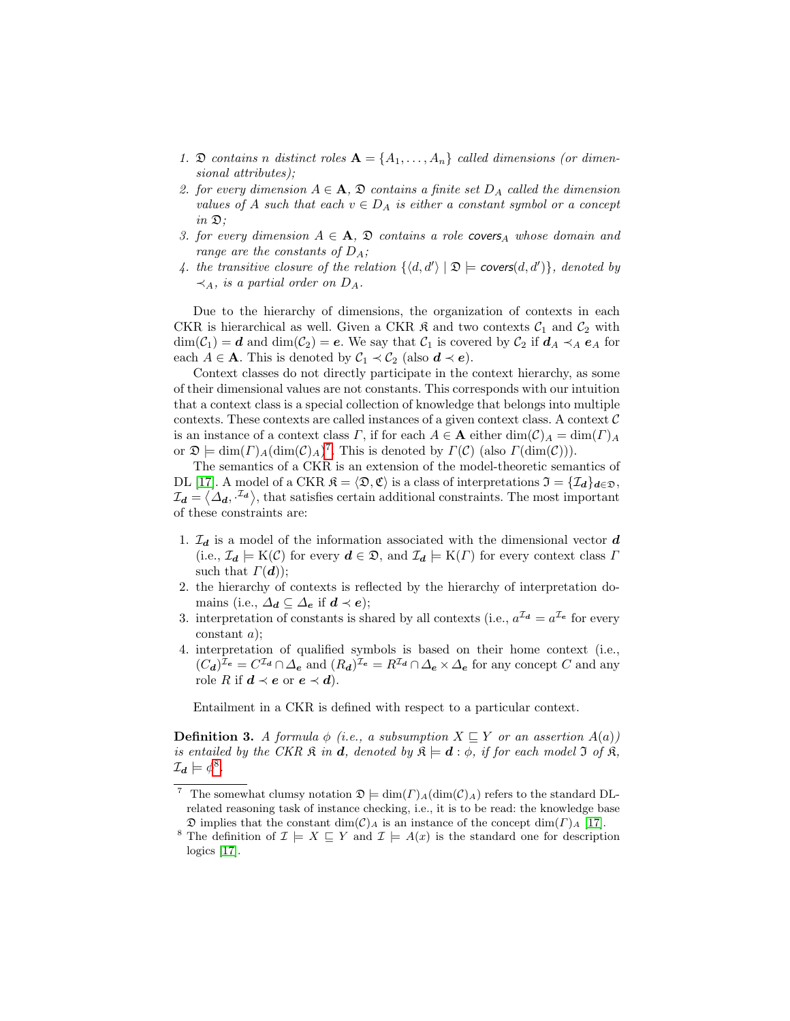- 1.  $\mathfrak D$  contains n distinct roles  $\mathbf A = \{A_1, \ldots, A_n\}$  called dimensions (or dimensional attributes);
- 2. for every dimension  $A \in \mathbf{A}$ ,  $\mathfrak{D}$  contains a finite set  $D_A$  called the dimension values of A such that each  $v \in D_A$  is either a constant symbol or a concept  $in \mathfrak{D}$ ;
- 3. for every dimension  $A \in \mathbf{A}$ ,  $\mathfrak D$  contains a role covers<sub>A</sub> whose domain and range are the constants of  $D_A$ ;
- 4. the transitive closure of the relation  $\{ \langle d, d' \rangle | \mathfrak{D} \models \text{ covers}(d, d') \}$ , denoted by  $\prec_A$ , is a partial order on  $D_A$ .

Due to the hierarchy of dimensions, the organization of contexts in each CKR is hierarchical as well. Given a CKR  $\mathfrak{K}$  and two contexts  $\mathcal{C}_1$  and  $\mathcal{C}_2$  with  $\dim(\mathcal{C}_1) = d$  and  $\dim(\mathcal{C}_2) = e$ . We say that  $\mathcal{C}_1$  is covered by  $\mathcal{C}_2$  if  $d_A \prec_A e_A$  for each  $A \in \mathbf{A}$ . This is denoted by  $C_1 \prec C_2$  (also  $\mathbf{d} \prec \mathbf{e}$ ).

Context classes do not directly participate in the context hierarchy, as some of their dimensional values are not constants. This corresponds with our intuition that a context class is a special collection of knowledge that belongs into multiple contexts. These contexts are called instances of a given context class. A context  $\mathcal C$ is an instance of a context class  $\Gamma$ , if for each  $A \in \mathbf{A}$  either  $\dim(\mathcal{C})_A = \dim(\Gamma)_A$ or  $\mathfrak{D} \models \dim(\Gamma)_{A}(\dim(\mathcal{C})_{A})^{7}$  $\mathfrak{D} \models \dim(\Gamma)_{A}(\dim(\mathcal{C})_{A})^{7}$  $\mathfrak{D} \models \dim(\Gamma)_{A}(\dim(\mathcal{C})_{A})^{7}$ . This is denoted by  $\Gamma(\mathcal{C})$  (also  $\Gamma(\dim(\mathcal{C}))$ ).

The semantics of a CKR is an extension of the model-theoretic semantics of DL [\[17\]](#page-14-15). A model of a CKR  $\mathfrak{K} = \langle \mathfrak{D}, \mathfrak{C} \rangle$  is a class of interpretations  $\mathfrak{I} = \{\mathcal{I}_d\}_{d \in \mathfrak{D}},$  $\mathcal{I}_d = \langle \Delta_d, \cdot^{\mathcal{I}_d} \rangle$ , that satisfies certain additional constraints. The most important of these constraints are:

- 1.  $\mathcal{I}_d$  is a model of the information associated with the dimensional vector  $d$ (i.e.,  $\mathcal{I}_d \models \mathrm{K}(\mathcal{C})$  for every  $d \in \mathfrak{D}$ , and  $\mathcal{I}_d \models \mathrm{K}(\Gamma)$  for every context class  $\Gamma$ such that  $\Gamma(\boldsymbol{d})$ ;
- 2. the hierarchy of contexts is reflected by the hierarchy of interpretation domains (i.e.,  $\Delta_d \subseteq \Delta_e$  if  $d \prec e$ );
- 3. interpretation of constants is shared by all contexts (i.e.,  $a^{\mathcal{I}_{d}} = a^{\mathcal{I}_{e}}$  for every constant a);
- 4. interpretation of qualified symbols is based on their home context (i.e.,  $(C_{\bf d})^{\mathcal{I}_e} = C^{\mathcal{I}_d} \cap \Delta_e$  and  $(R_{\bf d})^{\mathcal{I}_e} = R^{\mathcal{I}_d} \cap \Delta_e \times \Delta_e$  for any concept  $C$  and any role R if  $d \prec e$  or  $e \prec d$ ).

Entailment in a CKR is defined with respect to a particular context.

**Definition 3.** A formula  $\phi$  (i.e., a subsumption  $X \subseteq Y$  or an assertion  $A(a)$ ) is entailed by the CKR  $\mathfrak{K}$  in **d**, denoted by  $\mathfrak{K} \models d : \phi$ , if for each model  $\mathfrak{I}$  of  $\mathfrak{K}$ ,  $\mathcal{I}_{d}\models\phi^{8}.$  $\mathcal{I}_{d}\models\phi^{8}.$  $\mathcal{I}_{d}\models\phi^{8}.$ 

<span id="page-5-0"></span>The somewhat clumsy notation  $\mathfrak{D} \models \dim(\Gamma)_{A}(\dim(\mathcal{C})_{A})$  refers to the standard DLrelated reasoning task of instance checking, i.e., it is to be read: the knowledge base  $\mathfrak D$  implies that the constant  $\dim(\mathcal C)_A$  is an instance of the concept  $\dim(\Gamma)_A$  [\[17\]](#page-14-15).

<span id="page-5-1"></span><sup>&</sup>lt;sup>8</sup> The definition of  $\mathcal{I} \models X \sqsubseteq Y$  and  $\mathcal{I} \models A(x)$  is the standard one for description logics [\[17\]](#page-14-15).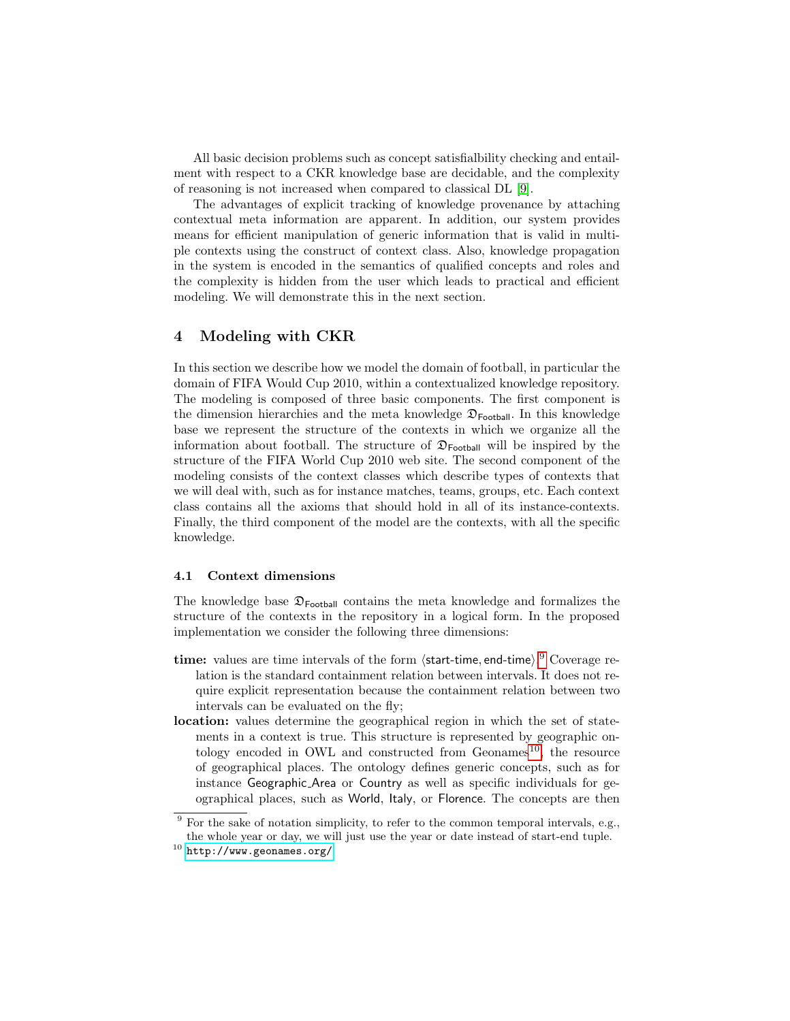All basic decision problems such as concept satisfialbility checking and entailment with respect to a CKR knowledge base are decidable, and the complexity of reasoning is not increased when compared to classical DL [\[9\]](#page-14-7).

The advantages of explicit tracking of knowledge provenance by attaching contextual meta information are apparent. In addition, our system provides means for efficient manipulation of generic information that is valid in multiple contexts using the construct of context class. Also, knowledge propagation in the system is encoded in the semantics of qualified concepts and roles and the complexity is hidden from the user which leads to practical and efficient modeling. We will demonstrate this in the next section.

### 4 Modeling with CKR

In this section we describe how we model the domain of football, in particular the domain of FIFA Would Cup 2010, within a contextualized knowledge repository. The modeling is composed of three basic components. The first component is the dimension hierarchies and the meta knowledge  $\mathfrak{D}_{\mathsf{Foothall}}$ . In this knowledge base we represent the structure of the contexts in which we organize all the information about football. The structure of  $\mathfrak{D}_{\mathsf{Foothall}}$  will be inspired by the structure of the FIFA World Cup 2010 web site. The second component of the modeling consists of the context classes which describe types of contexts that we will deal with, such as for instance matches, teams, groups, etc. Each context class contains all the axioms that should hold in all of its instance-contexts. Finally, the third component of the model are the contexts, with all the specific knowledge.

#### 4.1 Context dimensions

The knowledge base  $\mathfrak{D}_{\text{Football}}$  contains the meta knowledge and formalizes the structure of the contexts in the repository in a logical form. In the proposed implementation we consider the following three dimensions:

- time: values are time intervals of the form  $\langle$ start-time, end-time $\rangle$ .<sup>[9](#page-6-0)</sup> Coverage relation is the standard containment relation between intervals. It does not require explicit representation because the containment relation between two intervals can be evaluated on the fly;
- location: values determine the geographical region in which the set of statements in a context is true. This structure is represented by geographic ontology encoded in OWL and constructed from  $Geonames^{10}$  $Geonames^{10}$  $Geonames^{10}$ , the resource of geographical places. The ontology defines generic concepts, such as for instance Geographic Area or Country as well as specific individuals for geographical places, such as World, Italy, or Florence. The concepts are then

<span id="page-6-0"></span><sup>&</sup>lt;sup>9</sup> For the sake of notation simplicity, to refer to the common temporal intervals, e.g., the whole year or day, we will just use the year or date instead of start-end tuple.

<span id="page-6-1"></span> $10$  <http://www.geonames.org/>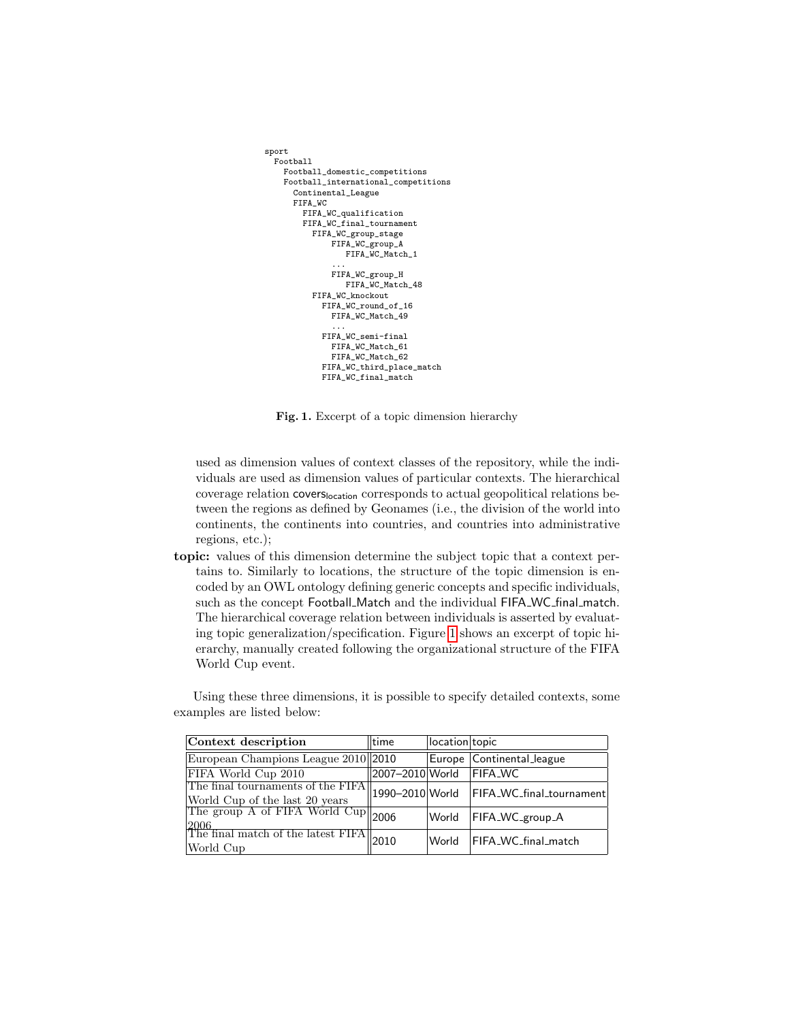```
sport
 Football
   Football_domestic_competitions
   Football_international_competitions
      Continental_League
      FIFA_WC
        FIFA_WC_qualification
       FIFA WC final tournament
          FIFA_WC_group_stage
              FIFA_WC_group_A
                FIFA_WC_Match_1
              ...
FIFA_WC_group_H
                FIFA_WC_Match_48
          FIFA WC_knockout
            FIFA_WC_round_of_16
              FIFA_WC_Match_49
              ...
            FIFA_WC_semi-final
              FIFA_WC_Match_61
              FIFA_WC_Match_62
            FIFA_WC_third_place_match
            FIFA_WC_final_match
```
Fig. 1. Excerpt of a topic dimension hierarchy

used as dimension values of context classes of the repository, while the individuals are used as dimension values of particular contexts. The hierarchical coverage relation coverslocation corresponds to actual geopolitical relations between the regions as defined by Geonames (i.e., the division of the world into continents, the continents into countries, and countries into administrative regions, etc.);

topic: values of this dimension determine the subject topic that a context pertains to. Similarly to locations, the structure of the topic dimension is encoded by an OWL ontology defining generic concepts and specific individuals, such as the concept Football Match and the individual FIFA WC final match. The hierarchical coverage relation between individuals is asserted by evaluating topic generalization/specification. Figure [1](#page-7-0) shows an excerpt of topic hierarchy, manually created following the organizational structure of the FIFA World Cup event.

Using these three dimensions, it is possible to specify detailed contexts, some examples are listed below:

| Context description                                                                                                                                                | ltime           | location topic |                           |
|--------------------------------------------------------------------------------------------------------------------------------------------------------------------|-----------------|----------------|---------------------------|
| European Champions League 2010 2010                                                                                                                                |                 |                | Europe Continental_league |
| FIFA World Cup 2010                                                                                                                                                | 2007-2010 World |                | <b>FIFA_WC</b>            |
| The final tournaments of the FIFA 1990–2010 World                                                                                                                  |                 |                | FIFA_WC_final_tournament  |
| $\begin{array}{ l l } \hline \text{World Cup of the last 20 years} & \text{--} \\ \hline \text{The group A of FIFA World Cup} & \text{2006} \\ \hline \end{array}$ |                 | World          | FIFA_WC_group_A           |
| $\frac{2006}{\text{The final match of the latest FIFA}}$ 2010<br>World Cup                                                                                         |                 | World          | FIFA_WC_final_match       |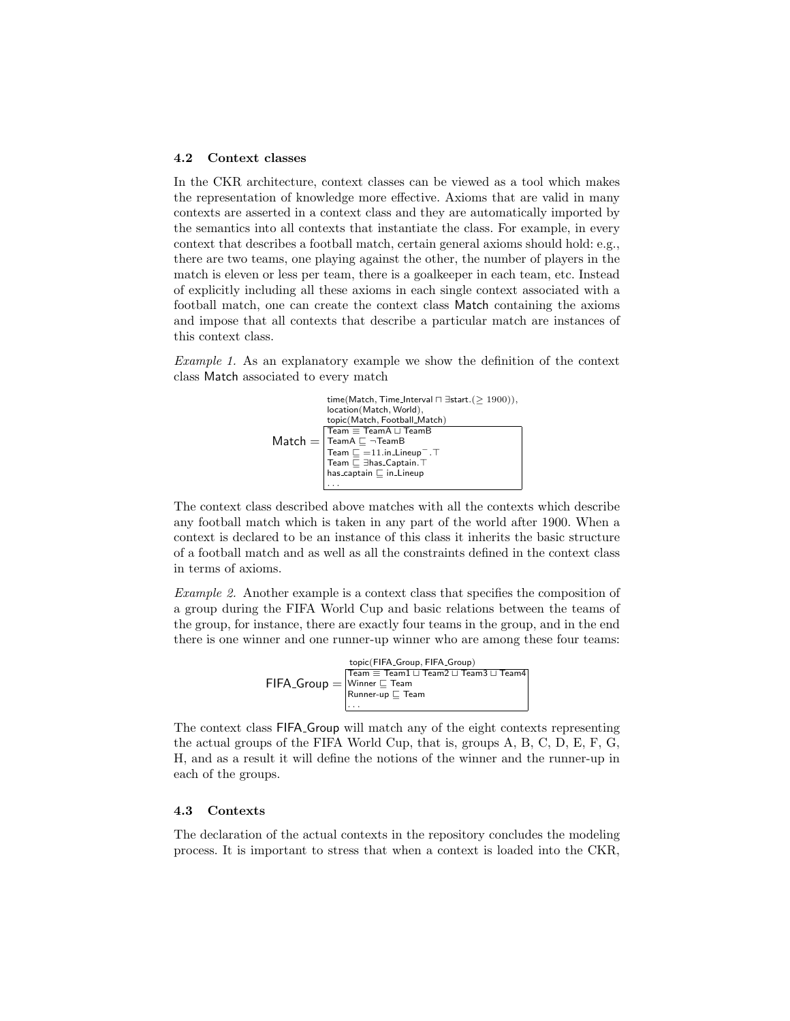#### 4.2 Context classes

In the CKR architecture, context classes can be viewed as a tool which makes the representation of knowledge more effective. Axioms that are valid in many contexts are asserted in a context class and they are automatically imported by the semantics into all contexts that instantiate the class. For example, in every context that describes a football match, certain general axioms should hold: e.g., there are two teams, one playing against the other, the number of players in the match is eleven or less per team, there is a goalkeeper in each team, etc. Instead of explicitly including all these axioms in each single context associated with a football match, one can create the context class Match containing the axioms and impose that all contexts that describe a particular match are instances of this context class.

Example 1. As an explanatory example we show the definition of the context class Match associated to every match



The context class described above matches with all the contexts which describe any football match which is taken in any part of the world after 1900. When a context is declared to be an instance of this class it inherits the basic structure of a football match and as well as all the constraints defined in the context class in terms of axioms.

Example 2. Another example is a context class that specifies the composition of a group during the FIFA World Cup and basic relations between the teams of the group, for instance, there are exactly four teams in the group, and in the end there is one winner and one runner-up winner who are among these four teams:

> $\mathsf{FIFA\_Group} = |$ Winner $\sqsubseteq$  Team topic(FIFA\_Group, FIFA\_Group)  $\boxed{\mathsf{Team}\equiv \mathsf{Team1}\sqcup \mathsf{Team2}\sqcup \mathsf{Team3}\sqcup \mathsf{Team4}}$  $R$ unner-up  $\sqsubseteq$  Team . . .

The context class FIFA Group will match any of the eight contexts representing the actual groups of the FIFA World Cup, that is, groups A, B, C, D, E, F, G, H, and as a result it will define the notions of the winner and the runner-up in each of the groups.

#### 4.3 Contexts

The declaration of the actual contexts in the repository concludes the modeling process. It is important to stress that when a context is loaded into the CKR,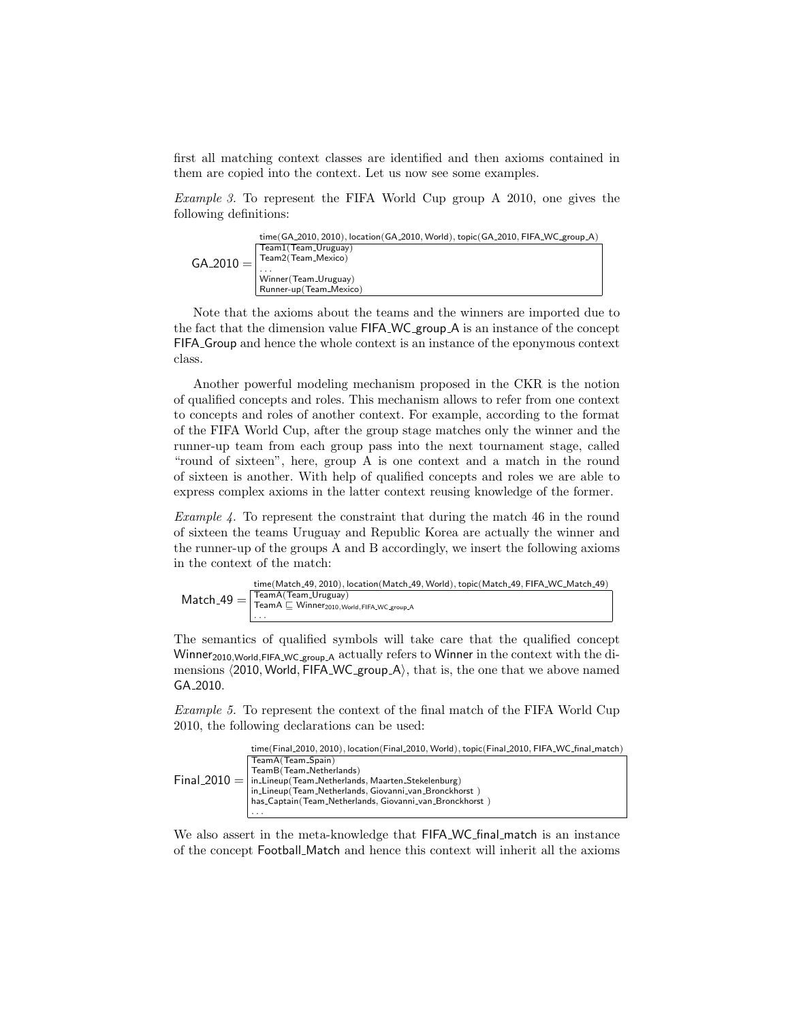first all matching context classes are identified and then axioms contained in them are copied into the context. Let us now see some examples.

Example 3. To represent the FIFA World Cup group A 2010, one gives the following definitions:

|             | time(GA_2010, 2010), location(GA_2010, World), topic(GA_2010, FIFA_WC_group_A) |
|-------------|--------------------------------------------------------------------------------|
|             | Team1(Team_Uruguay)                                                            |
| $GA_2010 =$ | Team2(Team_Mexico)                                                             |
|             | .                                                                              |
|             | Winner (Team_Uruguay)                                                          |
|             | Runner-up (Team_Mexico)                                                        |

Note that the axioms about the teams and the winners are imported due to the fact that the dimension value FIFA WC group A is an instance of the concept FIFA Group and hence the whole context is an instance of the eponymous context class.

Another powerful modeling mechanism proposed in the CKR is the notion of qualified concepts and roles. This mechanism allows to refer from one context to concepts and roles of another context. For example, according to the format of the FIFA World Cup, after the group stage matches only the winner and the runner-up team from each group pass into the next tournament stage, called "round of sixteen", here, group A is one context and a match in the round of sixteen is another. With help of qualified concepts and roles we are able to express complex axioms in the latter context reusing knowledge of the former.

Example 4. To represent the constraint that during the match 46 in the round of sixteen the teams Uruguay and Republic Korea are actually the winner and the runner-up of the groups A and B accordingly, we insert the following axioms in the context of the match:



The semantics of qualified symbols will take care that the qualified concept Winner<sub>2010, World, FIFA WC group A</sub> actually refers to Winner in the context with the dimensions  $\langle 2010, \text{World}, \text{FIFA}_\text{W}C_\text{group} A \rangle$ , that is, the one that we above named GA 2010.

Example 5. To represent the context of the final match of the FIFA World Cup 2010, the following declarations can be used:

|  | time(Final_2010, 2010), location(Final_2010, World), topic(Final_2010, FIFA_WC_final_match) |
|--|---------------------------------------------------------------------------------------------|
|  | TeamA(Team_Spain)                                                                           |
|  | TeamB(Team_Netherlands)                                                                     |
|  | $Final_2010 =  $ in Lineup (Team Netherlands, Maarten Stekelenburg)                         |
|  | in_Lineup(Team_Netherlands, Giovanni_van_Bronckhorst)                                       |
|  | has_Captain(Team_Netherlands, Giovanni_van_Bronckhorst)                                     |
|  | $\cdot$ $\cdot$ $\cdot$                                                                     |

We also assert in the meta-knowledge that FIFA WC final match is an instance of the concept Football Match and hence this context will inherit all the axioms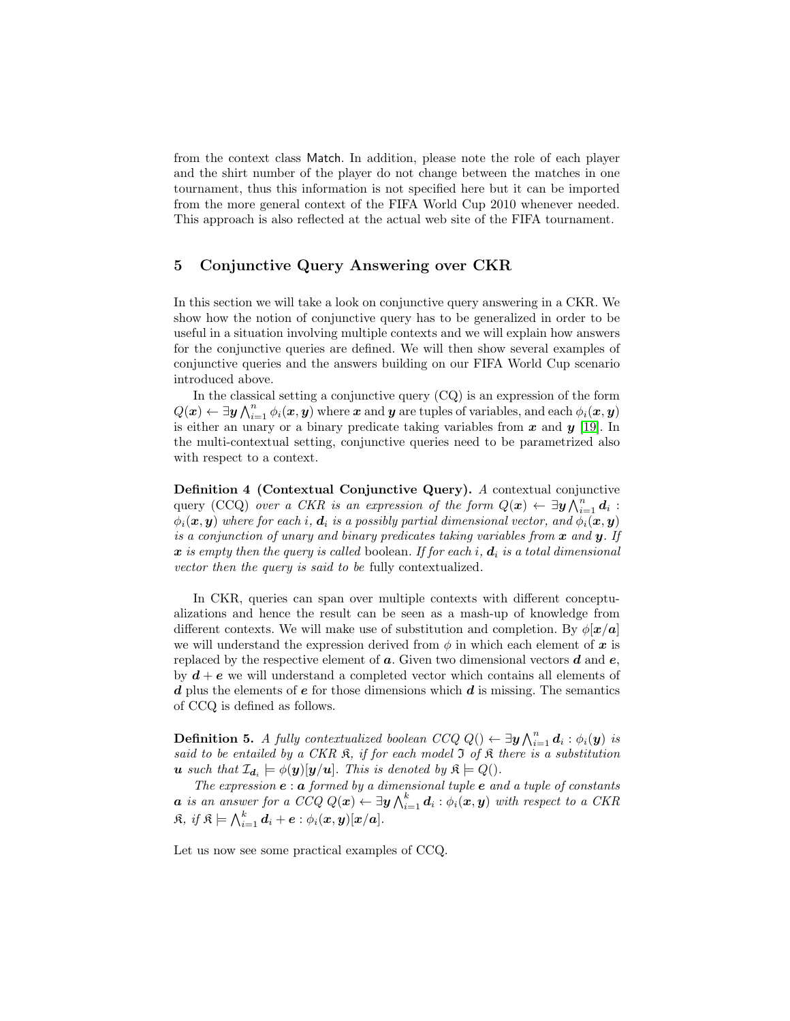from the context class Match. In addition, please note the role of each player and the shirt number of the player do not change between the matches in one tournament, thus this information is not specified here but it can be imported from the more general context of the FIFA World Cup 2010 whenever needed. This approach is also reflected at the actual web site of the FIFA tournament.

## 5 Conjunctive Query Answering over CKR

In this section we will take a look on conjunctive query answering in a CKR. We show how the notion of conjunctive query has to be generalized in order to be useful in a situation involving multiple contexts and we will explain how answers for the conjunctive queries are defined. We will then show several examples of conjunctive queries and the answers building on our FIFA World Cup scenario introduced above.

In the classical setting a conjunctive query (CQ) is an expression of the form  $Q(\bm{x}) \leftarrow \exists \bm{y} \bigwedge_{i=1}^n \phi_i(\bm{x}, \bm{y})$  where  $\bm{x}$  and  $\bm{y}$  are tuples of variables, and each  $\phi_i(\bm{x}, \bm{y})$ is either an unary or a binary predicate taking variables from  $x$  and  $y$  [\[19\]](#page-14-17). In the multi-contextual setting, conjunctive queries need to be parametrized also with respect to a context.

Definition 4 (Contextual Conjunctive Query). A contextual conjunctive query (CCQ) over a CKR is an expression of the form  $Q(x) \leftarrow \exists y \bigwedge_{i=1}^{n} d_i$ :  $\phi_i(\bm{x}, \bm{y})$  where for each i,  $\bm{d}_i$  is a possibly partial dimensional vector, and  $\phi_i(\bm{x}, \bm{y})$ is a conjunction of unary and binary predicates taking variables from  $x$  and  $y$ . If  $x$  is empty then the query is called boolean. If for each i,  $d_i$  is a total dimensional vector then the query is said to be fully contextualized.

In CKR, queries can span over multiple contexts with different conceptualizations and hence the result can be seen as a mash-up of knowledge from different contexts. We will make use of substitution and completion. By  $\phi[\mathbf{x}/\mathbf{a}]$ we will understand the expression derived from  $\phi$  in which each element of x is replaced by the respective element of  $a$ . Given two dimensional vectors  $d$  and  $e$ , by  $d + e$  we will understand a completed vector which contains all elements of d plus the elements of  $e$  for those dimensions which  $d$  is missing. The semantics of CCQ is defined as follows.

**Definition 5.** A fully contextualized boolean  $CCQ Q() \leftarrow \exists y \bigwedge_{i=1}^{n} d_i : \phi_i(y)$  is said to be entailed by a CKR  $\mathfrak{K}$ , if for each model  $\mathfrak{I}$  of  $\mathfrak{K}$  there is a substitution **u** such that  $\mathcal{I}_{\boldsymbol{d}_i} \models \phi(\boldsymbol{y})[\boldsymbol{y}/\boldsymbol{u}]$ . This is denoted by  $\mathfrak{K} \models Q()$ .

The expression  $e : a$  formed by a dimensional tuple  $e$  and a tuple of constants  $\bm{a}$  is an answer for a CCQ  $Q(\bm{x}) \leftarrow \exists \bm{y} \bigwedge_{i=1}^k \bm{d}_i : \phi_i(\bm{x}, \bm{y})$  with respect to a CKR  $\mathfrak{K},\text{ if }\mathfrak{K}\models\bigwedge_{i=1}^k\boldsymbol{d}_i+\boldsymbol{e}:\phi_i(\boldsymbol{x},\boldsymbol{y})[\boldsymbol{x}/\boldsymbol{a}].$ 

Let us now see some practical examples of CCQ.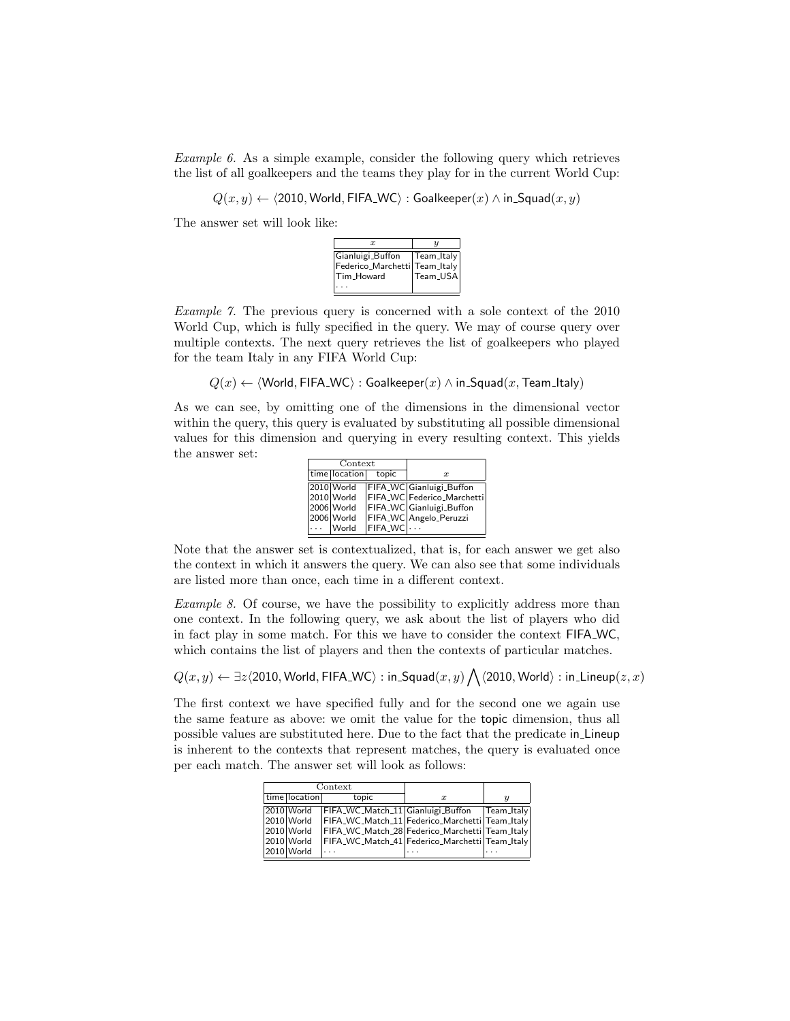Example 6. As a simple example, consider the following query which retrieves the list of all goalkeepers and the teams they play for in the current World Cup:

 $Q(x, y) \leftarrow \langle 2010, World, FIFA_WC \rangle : Goa|keeper(x) \wedge in_Squad(x, y)$ 

The answer set will look like:



Example 7. The previous query is concerned with a sole context of the 2010 World Cup, which is fully specified in the query. We may of course query over multiple contexts. The next query retrieves the list of goalkeepers who played for the team Italy in any FIFA World Cup:

 $Q(x) \leftarrow \langle$  World, FIFA\_WC $\rangle$ : Goalkeeper $(x) \wedge$  in Squad $(x,$  Team Italy)

As we can see, by omitting one of the dimensions in the dimensional vector within the query, this query is evaluated by substituting all possible dimensional values for this dimension and querying in every resulting context. This yields the answer set:

| Context  |               |         |                            |
|----------|---------------|---------|----------------------------|
|          | time location | topic   | $\boldsymbol{x}$           |
|          | 2010 World    |         | FIFA_WC Gianluigi_Buffon   |
|          | 2010 World    |         | FIFA_WC Federico_Marchetti |
|          | 2006 World    |         | FIFA_WC Gianluigi_Buffon   |
|          | 2006 World    |         | FIFA_WC Angelo_Peruzzi     |
| $\cdots$ | <b>World</b>  | FIFA_WC |                            |

Note that the answer set is contextualized, that is, for each answer we get also the context in which it answers the query. We can also see that some individuals are listed more than once, each time in a different context.

Example 8. Of course, we have the possibility to explicitly address more than one context. In the following query, we ask about the list of players who did in fact play in some match. For this we have to consider the context FIFA WC, which contains the list of players and then the contexts of particular matches.

 $Q(x,y) \leftarrow \exists z \langle 2010, \text{World}, \text{FIFA\_WC}\rangle : \text{in\_Squad}(x,y) \bigwedge \langle 2010, \text{World}\rangle : \text{in\_Lineup}(z,x)$ 

The first context we have specified fully and for the second one we again use the same feature as above: we omit the value for the topic dimension, thus all possible values are substituted here. Due to the fact that the predicate in Lineup is inherent to the contexts that represent matches, the query is evaluated once per each match. The answer set will look as follows:

| Context |               |                                                |                  |                  |
|---------|---------------|------------------------------------------------|------------------|------------------|
|         | time location | topic                                          | $\boldsymbol{x}$ | $\boldsymbol{y}$ |
|         |               | 2010 World FIFA_WC_Match_11 Gianluigi_Buffon   |                  | Team_Italy       |
|         | 2010 World    | FIFA_WC_Match_11 Federico_Marchetti Team_Italy |                  |                  |
|         | 2010 World    | FIFA_WC_Match_28 Federico_Marchetti Team_Italy |                  |                  |
|         | 2010 World    | FIFA_WC_Match_41 Federico_Marchetti Team_Italy |                  |                  |
|         | 2010 World    |                                                |                  |                  |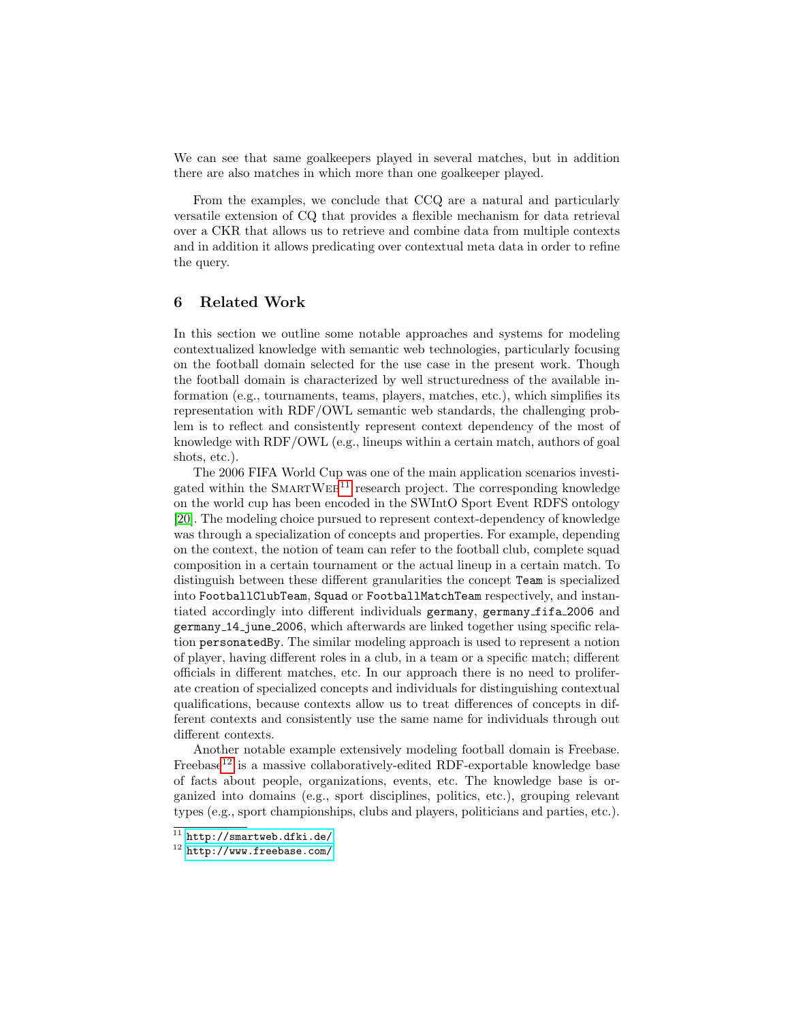We can see that same goalkeepers played in several matches, but in addition there are also matches in which more than one goalkeeper played.

From the examples, we conclude that CCQ are a natural and particularly versatile extension of CQ that provides a flexible mechanism for data retrieval over a CKR that allows us to retrieve and combine data from multiple contexts and in addition it allows predicating over contextual meta data in order to refine the query.

### 6 Related Work

In this section we outline some notable approaches and systems for modeling contextualized knowledge with semantic web technologies, particularly focusing on the football domain selected for the use case in the present work. Though the football domain is characterized by well structuredness of the available information (e.g., tournaments, teams, players, matches, etc.), which simplifies its representation with RDF/OWL semantic web standards, the challenging problem is to reflect and consistently represent context dependency of the most of knowledge with RDF/OWL (e.g., lineups within a certain match, authors of goal shots, etc.).

The 2006 FIFA World Cup was one of the main application scenarios investigated within the  $S_{MARTWEB}^{11}$  $S_{MARTWEB}^{11}$  $S_{MARTWEB}^{11}$  research project. The corresponding knowledge on the world cup has been encoded in the SWIntO Sport Event RDFS ontology [\[20\]](#page-14-18). The modeling choice pursued to represent context-dependency of knowledge was through a specialization of concepts and properties. For example, depending on the context, the notion of team can refer to the football club, complete squad composition in a certain tournament or the actual lineup in a certain match. To distinguish between these different granularities the concept Team is specialized into FootballClubTeam, Squad or FootballMatchTeam respectively, and instantiated accordingly into different individuals germany, germany fifa 2006 and germany 14 june 2006, which afterwards are linked together using specific relation personatedBy. The similar modeling approach is used to represent a notion of player, having different roles in a club, in a team or a specific match; different officials in different matches, etc. In our approach there is no need to proliferate creation of specialized concepts and individuals for distinguishing contextual qualifications, because contexts allow us to treat differences of concepts in different contexts and consistently use the same name for individuals through out different contexts.

Another notable example extensively modeling football domain is Freebase. Freebase<sup>[12](#page-12-1)</sup> is a massive collaboratively-edited RDF-exportable knowledge base of facts about people, organizations, events, etc. The knowledge base is organized into domains (e.g., sport disciplines, politics, etc.), grouping relevant types (e.g., sport championships, clubs and players, politicians and parties, etc.).

<span id="page-12-0"></span> $11$  <http://smartweb.dfki.de/>

<span id="page-12-1"></span><sup>12</sup> <http://www.freebase.com/>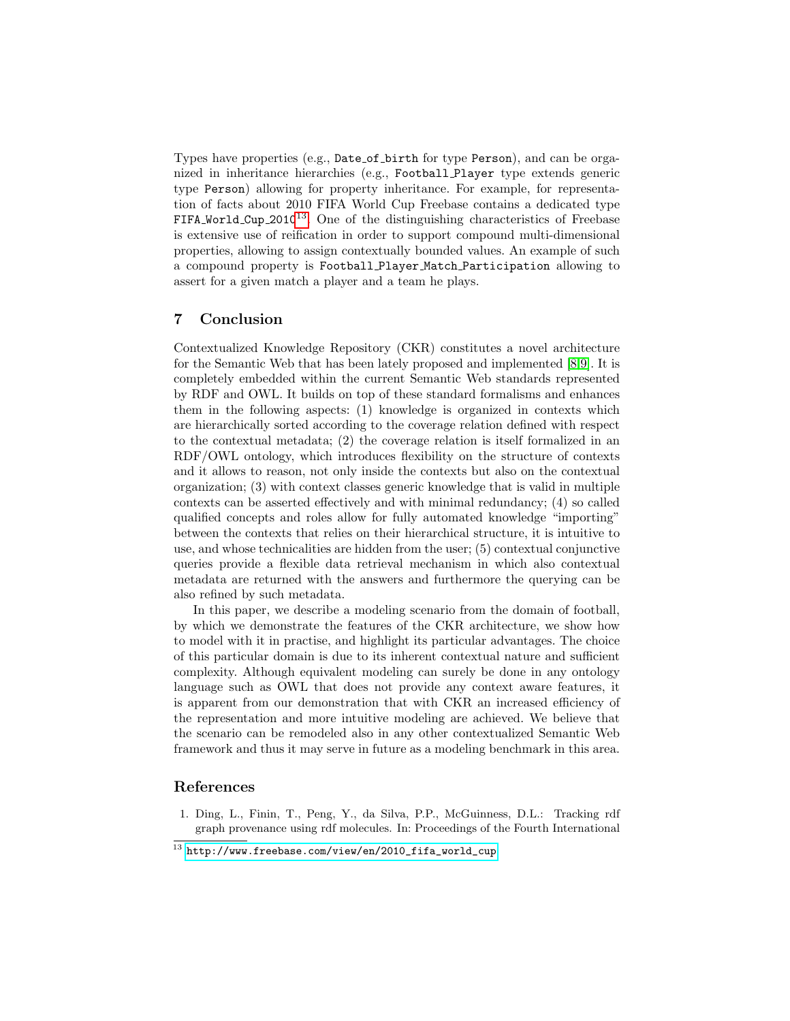Types have properties (e.g., Date of birth for type Person), and can be organized in inheritance hierarchies (e.g., Football Player type extends generic type Person) allowing for property inheritance. For example, for representation of facts about 2010 FIFA World Cup Freebase contains a dedicated type FIFA World Cup  $2010^{13}$  $2010^{13}$  $2010^{13}$ . One of the distinguishing characteristics of Freebase is extensive use of reification in order to support compound multi-dimensional properties, allowing to assign contextually bounded values. An example of such a compound property is Football Player Match Participation allowing to assert for a given match a player and a team he plays.

# 7 Conclusion

Contextualized Knowledge Repository (CKR) constitutes a novel architecture for the Semantic Web that has been lately proposed and implemented [\[8,](#page-14-6)[9\]](#page-14-7). It is completely embedded within the current Semantic Web standards represented by RDF and OWL. It builds on top of these standard formalisms and enhances them in the following aspects: (1) knowledge is organized in contexts which are hierarchically sorted according to the coverage relation defined with respect to the contextual metadata; (2) the coverage relation is itself formalized in an RDF/OWL ontology, which introduces flexibility on the structure of contexts and it allows to reason, not only inside the contexts but also on the contextual organization; (3) with context classes generic knowledge that is valid in multiple contexts can be asserted effectively and with minimal redundancy; (4) so called qualified concepts and roles allow for fully automated knowledge "importing" between the contexts that relies on their hierarchical structure, it is intuitive to use, and whose technicalities are hidden from the user; (5) contextual conjunctive queries provide a flexible data retrieval mechanism in which also contextual metadata are returned with the answers and furthermore the querying can be also refined by such metadata.

In this paper, we describe a modeling scenario from the domain of football, by which we demonstrate the features of the CKR architecture, we show how to model with it in practise, and highlight its particular advantages. The choice of this particular domain is due to its inherent contextual nature and sufficient complexity. Although equivalent modeling can surely be done in any ontology language such as OWL that does not provide any context aware features, it is apparent from our demonstration that with CKR an increased efficiency of the representation and more intuitive modeling are achieved. We believe that the scenario can be remodeled also in any other contextualized Semantic Web framework and thus it may serve in future as a modeling benchmark in this area.

# References

<span id="page-13-0"></span>1. Ding, L., Finin, T., Peng, Y., da Silva, P.P., McGuinness, D.L.: Tracking rdf graph provenance using rdf molecules. In: Proceedings of the Fourth International

<span id="page-13-1"></span> $^{13}$  [http://www.freebase.com/view/en/2010\\_fifa\\_world\\_cup](http://www.freebase.com/view/en/2010_fifa_world_cup)